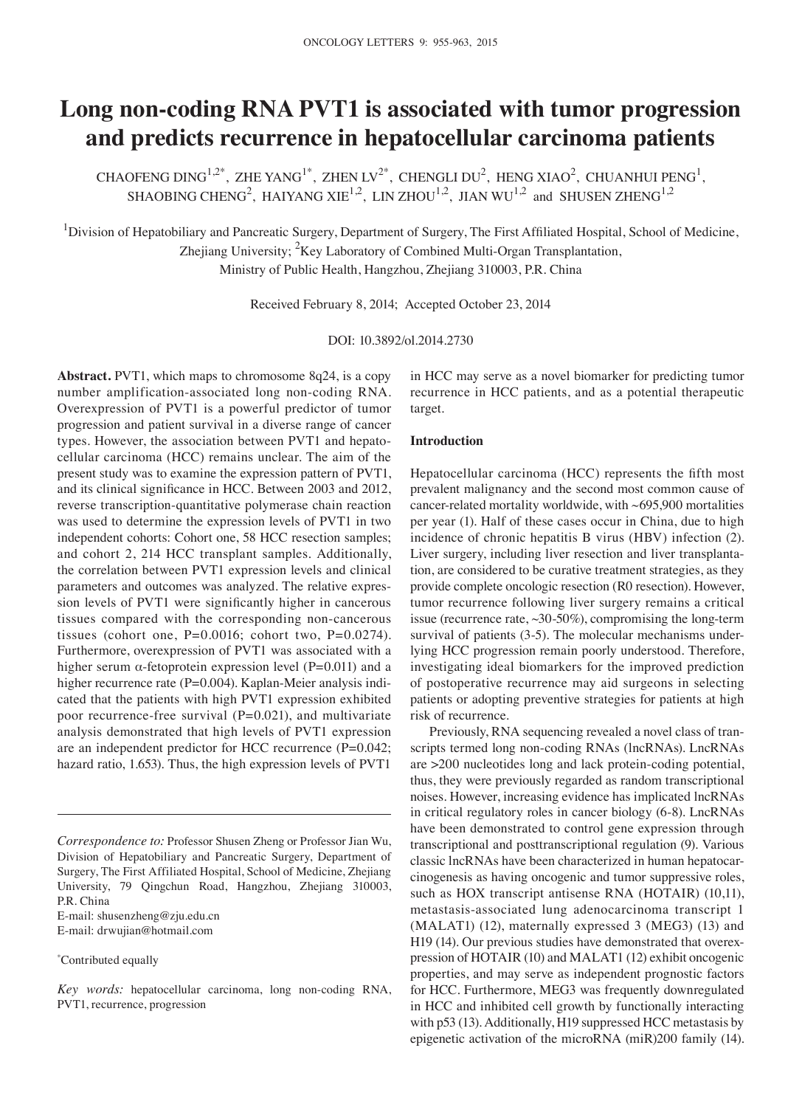# **Long non‑coding RNA PVT1 is associated with tumor progression and predicts recurrence in hepatocellular carcinoma patients**

CHAOFENG DING<sup>1,2\*</sup>, ZHE YANG<sup>1\*</sup>, ZHEN LV<sup>2\*</sup>, CHENGLI DU<sup>2</sup>, HENG XIAO<sup>2</sup>, CHUANHUI PENG<sup>1</sup>, SHAOBING CHENG<sup>2</sup>, HAIYANG XIE<sup>1,2</sup>, LIN ZHOU<sup>1,2</sup>, JIAN WU<sup>1,2</sup> and SHUSEN ZHENG<sup>1,2</sup>

<sup>1</sup>Division of Hepatobiliary and Pancreatic Surgery, Department of Surgery, The First Affiliated Hospital, School of Medicine, Zhejiang University; <sup>2</sup>Key Laboratory of Combined Multi-Organ Transplantation, Ministry of Public Health, Hangzhou, Zhejiang 310003, P.R. China

Received February 8, 2014; Accepted October 23, 2014

DOI: 10.3892/ol.2014.2730

**Abstract.** PVT1, which maps to chromosome 8q24, is a copy number amplification-associated long non-coding RNA. Overexpression of PVT1 is a powerful predictor of tumor progression and patient survival in a diverse range of cancer types. However, the association between PVT1 and hepatocellular carcinoma (HCC) remains unclear. The aim of the present study was to examine the expression pattern of PVT1, and its clinical significance in HCC. Between 2003 and 2012, reverse transcription-quantitative polymerase chain reaction was used to determine the expression levels of PVT1 in two independent cohorts: Cohort one, 58 HCC resection samples; and cohort 2, 214 HCC transplant samples. Additionally, the correlation between PVT1 expression levels and clinical parameters and outcomes was analyzed. The relative expression levels of PVT1 were significantly higher in cancerous tissues compared with the corresponding non-cancerous tissues (cohort one, P=0.0016; cohort two, P=0.0274). Furthermore, overexpression of PVT1 was associated with a higher serum  $\alpha$ -fetoprotein expression level (P=0.011) and a higher recurrence rate (P=0.004). Kaplan-Meier analysis indicated that the patients with high PVT1 expression exhibited poor recurrence-free survival  $(P=0.021)$ , and multivariate analysis demonstrated that high levels of PVT1 expression are an independent predictor for HCC recurrence (P=0.042; hazard ratio, 1.653). Thus, the high expression levels of PVT1

E-mail: shusenzheng@zju.edu.cn

E-mail: drwujian@hotmail.com

\* Contributed equally

in HCC may serve as a novel biomarker for predicting tumor recurrence in HCC patients, and as a potential therapeutic target.

### **Introduction**

Hepatocellular carcinoma (HCC) represents the fifth most prevalent malignancy and the second most common cause of cancer-related mortality worldwide, with ~695,900 mortalities per year (1). Half of these cases occur in China, due to high incidence of chronic hepatitis B virus (HBV) infection (2). Liver surgery, including liver resection and liver transplantation, are considered to be curative treatment strategies, as they provide complete oncologic resection (R0 resection). However, tumor recurrence following liver surgery remains a critical issue (recurrence rate, ~30-50%), compromising the long-term survival of patients (3-5). The molecular mechanisms underlying HCC progression remain poorly understood. Therefore, investigating ideal biomarkers for the improved prediction of postoperative recurrence may aid surgeons in selecting patients or adopting preventive strategies for patients at high risk of recurrence.

Previously, RNA sequencing revealed a novel class of transcripts termed long non-coding RNAs (lncRNAs). LncRNAs are >200 nucleotides long and lack protein-coding potential, thus, they were previously regarded as random transcriptional noises. However, increasing evidence has implicated lncRNAs in critical regulatory roles in cancer biology (6-8). LncRNAs have been demonstrated to control gene expression through transcriptional and posttranscriptional regulation (9). Various classic lncRNAs have been characterized in human hepatocarcinogenesis as having oncogenic and tumor suppressive roles, such as HOX transcript antisense RNA (HOTAIR) (10,11), metastasis-associated lung adenocarcinoma transcript 1 (MALAT1) (12), maternally expressed 3 (MEG3) (13) and H19 (14). Our previous studies have demonstrated that overexpression of HOTAIR (10) and MALAT1 (12) exhibit oncogenic properties, and may serve as independent prognostic factors for HCC. Furthermore, MEG3 was frequently downregulated in HCC and inhibited cell growth by functionally interacting with p53 (13). Additionally, H19 suppressed HCC metastasis by epigenetic activation of the microRNA (miR)200 family (14).

*Correspondence to:* Professor Shusen Zheng or Professor Jian Wu, Division of Hepatobiliary and Pancreatic Surgery, Department of Surgery, The First Affiliated Hospital, School of Medicine, Zhejiang University, 79 Qingchun Road, Hangzhou, Zhejiang 310003, P.R. China

*Key words:* hepatocellular carcinoma, long non-coding RNA, PVT1, recurrence, progression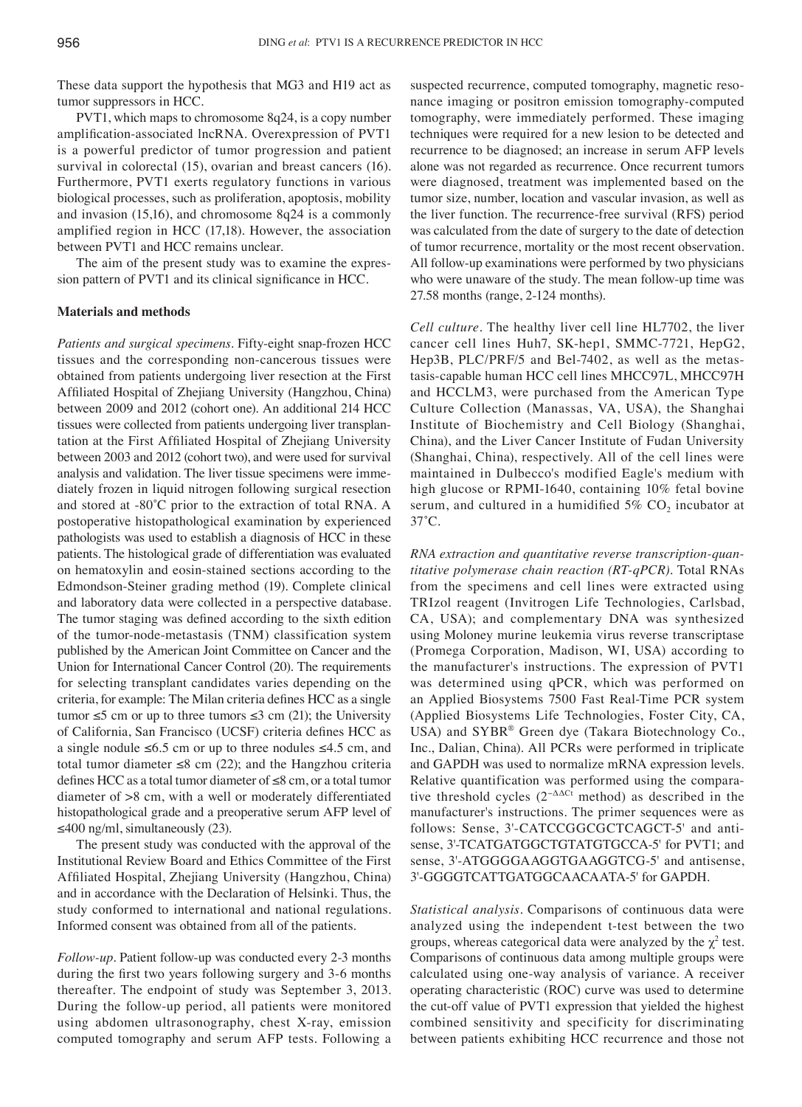These data support the hypothesis that MG3 and H19 act as tumor suppressors in HCC.

PVT1, which maps to chromosome 8q24, is a copy number amplification‑associated lncRNA. Overexpression of PVT1 is a powerful predictor of tumor progression and patient survival in colorectal (15), ovarian and breast cancers (16). Furthermore, PVT1 exerts regulatory functions in various biological processes, such as proliferation, apoptosis, mobility and invasion (15,16), and chromosome 8q24 is a commonly amplified region in HCC (17,18). However, the association between PVT1 and HCC remains unclear.

The aim of the present study was to examine the expression pattern of PVT1 and its clinical significance in HCC.

# **Materials and methods**

*Patients and surgical specimens.* Fifty-eight snap-frozen HCC tissues and the corresponding non-cancerous tissues were obtained from patients undergoing liver resection at the First Affiliated Hospital of Zhejiang University (Hangzhou, China) between 2009 and 2012 (cohort one). An additional 214 HCC tissues were collected from patients undergoing liver transplantation at the First Affiliated Hospital of Zhejiang University between 2003 and 2012 (cohort two), and were used for survival analysis and validation. The liver tissue specimens were immediately frozen in liquid nitrogen following surgical resection and stored at ‑80˚C prior to the extraction of total RNA. A postoperative histopathological examination by experienced pathologists was used to establish a diagnosis of HCC in these patients. The histological grade of differentiation was evaluated on hematoxylin and eosin-stained sections according to the Edmondson-Steiner grading method (19). Complete clinical and laboratory data were collected in a perspective database. The tumor staging was defined according to the sixth edition of the tumor-node-metastasis (TNM) classification system published by the American Joint Committee on Cancer and the Union for International Cancer Control (20). The requirements for selecting transplant candidates varies depending on the criteria, for example: The Milan criteria defines HCC as a single tumor  $\leq$ 5 cm or up to three tumors  $\leq$ 3 cm (21); the University of California, San Francisco (UCSF) criteria defines HCC as a single nodule ≤6.5 cm or up to three nodules ≤4.5 cm, and total tumor diameter  $\leq 8$  cm (22); and the Hangzhou criteria defines HCC as a total tumor diameter of ≤8 cm, or a total tumor diameter of >8 cm, with a well or moderately differentiated histopathological grade and a preoperative serum AFP level of  $≤400$  ng/ml, simultaneously (23).

The present study was conducted with the approval of the Institutional Review Board and Ethics Committee of the First Affiliated Hospital, Zhejiang University (Hangzhou, China) and in accordance with the Declaration of Helsinki. Thus, the study conformed to international and national regulations. Informed consent was obtained from all of the patients.

*Follow-up*. Patient follow-up was conducted every 2-3 months during the first two years following surgery and 3‑6 months thereafter. The endpoint of study was September 3, 2013. During the follow-up period, all patients were monitored using abdomen ultrasonography, chest X-ray, emission computed tomography and serum AFP tests. Following a suspected recurrence, computed tomography, magnetic resonance imaging or positron emission tomography-computed tomography, were immediately performed. These imaging techniques were required for a new lesion to be detected and recurrence to be diagnosed; an increase in serum AFP levels alone was not regarded as recurrence. Once recurrent tumors were diagnosed, treatment was implemented based on the tumor size, number, location and vascular invasion, as well as the liver function. The recurrence-free survival (RFS) period was calculated from the date of surgery to the date of detection of tumor recurrence, mortality or the most recent observation. All follow-up examinations were performed by two physicians who were unaware of the study. The mean follow-up time was 27.58 months (range, 2-124 months).

*Cell culture.* The healthy liver cell line HL7702, the liver cancer cell lines Huh7, SK-hep1, SMMC-7721, HepG2, Hep3B, PLC/PRF/5 and Bel-7402, as well as the metastasis-capable human HCC cell lines MHCC97L, MHCC97H and HCCLM3, were purchased from the American Type Culture Collection (Manassas, VA, USA), the Shanghai Institute of Biochemistry and Cell Biology (Shanghai, China), and the Liver Cancer Institute of Fudan University (Shanghai, China), respectively. All of the cell lines were maintained in Dulbecco's modified Eagle's medium with high glucose or RPMI-1640, containing 10% fetal bovine serum, and cultured in a humidified  $5\%$  CO<sub>2</sub> incubator at 37˚C.

*RNA extraction and quantitative reverse transcription‑quan‑ titative polymerase chain reaction (RT‑qPCR).* Total RNAs from the specimens and cell lines were extracted using TRIzol reagent (Invitrogen Life Technologies, Carlsbad, CA, USA); and complementary DNA was synthesized using Moloney murine leukemia virus reverse transcriptase (Promega Corporation, Madison, WI, USA) according to the manufacturer's instructions. The expression of PVT1 was determined using qPCR, which was performed on an Applied Biosystems 7500 Fast Real-Time PCR system (Applied Biosystems Life Technologies, Foster City, CA, USA) and SYBR® Green dye (Takara Biotechnology Co., Inc., Dalian, China). All PCRs were performed in triplicate and GAPDH was used to normalize mRNA expression levels. Relative quantification was performed using the comparative threshold cycles  $(2^{-\Delta\Delta Ct} \text{ method})$  as described in the manufacturer's instructions. The primer sequences were as follows: Sense, 3'-CATCCGGCGCTCAGCT-5' and antisense, 3'-TCATGATGGCTGTATGTGCCA-5' for PVT1; and sense, 3'-ATGGGGAAGGTGAAGGTCG-5' and antisense, 3'-GGGGTCATTGATGGCAACAATA-5' for GAPDH.

*Statistical analysis.* Comparisons of continuous data were analyzed using the independent t-test between the two groups, whereas categorical data were analyzed by the  $\chi^2$  test. Comparisons of continuous data among multiple groups were calculated using one-way analysis of variance. A receiver operating characteristic (ROC) curve was used to determine the cut-off value of PVT1 expression that yielded the highest combined sensitivity and specificity for discriminating between patients exhibiting HCC recurrence and those not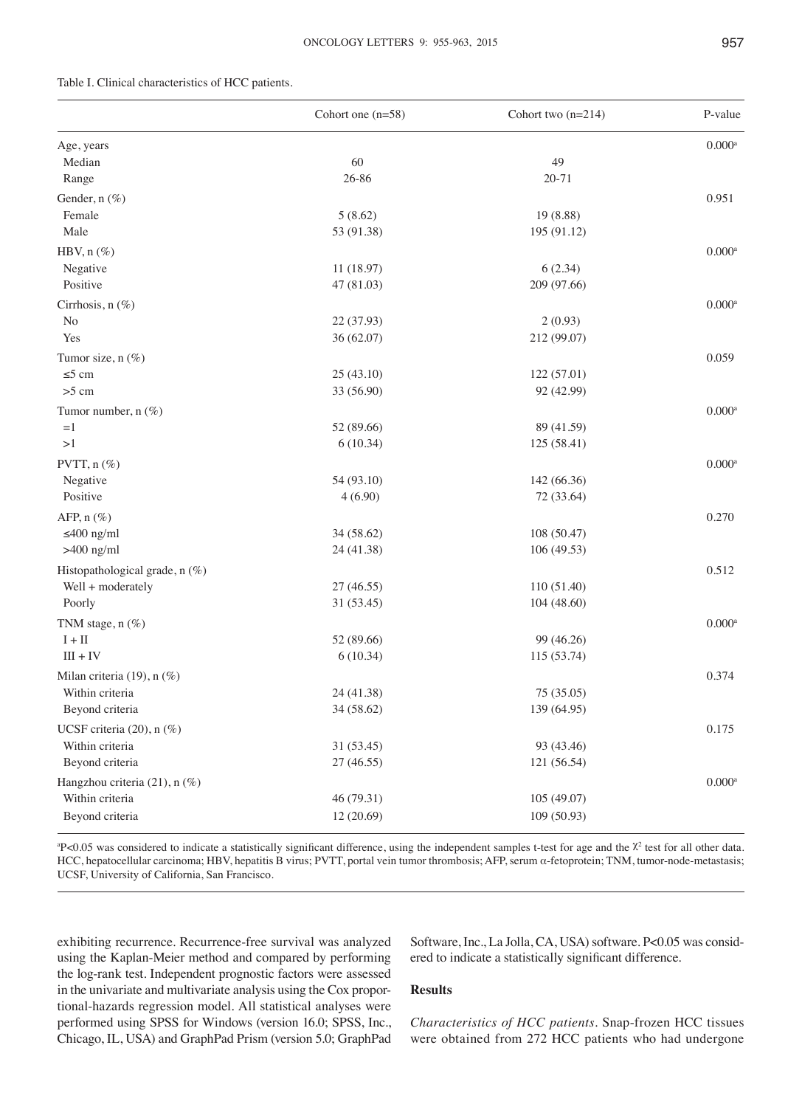# Table I. Clinical characteristics of HCC patients.

| $0.000^{\rm a}$<br>Age, years<br>60<br>49<br>Median<br>26-86<br>$20 - 71$<br>Range<br>Gender, n (%)<br>0.951<br>Female<br>5(8.62)<br>19 (8.88)<br>Male<br>53 (91.38)<br>195 (91.12)<br>HBV, $n$ (%)<br>$0.000$ <sup>a</sup><br>Negative<br>6(2.34)<br>11 (18.97)<br>Positive<br>47 (81.03)<br>209 (97.66)<br>Cirrhosis, n (%)<br>$0.000$ <sup>a</sup><br>22 (37.93)<br>2(0.93)<br>No<br>Yes<br>36 (62.07)<br>212 (99.07)<br>Tumor size, n (%)<br>0.059<br>$\leq$ 5 cm<br>25(43.10)<br>122(57.01)<br>$>5$ cm<br>33 (56.90)<br>92 (42.99)<br>$0.000$ <sup>a</sup><br>Tumor number, n (%)<br>52 (89.66)<br>89 (41.59)<br>$=1$<br>>1<br>6(10.34)<br>125 (58.41)<br>$0.000$ <sup>a</sup><br>PVTT, $n$ (%)<br>Negative<br>54 (93.10)<br>142 (66.36)<br>Positive<br>4(6.90)<br>72 (33.64)<br>AFP, $n$ (%)<br>0.270<br>$\leq 400$ ng/ml<br>34 (58.62)<br>108 (50.47)<br>$>400$ ng/ml<br>24 (41.38)<br>106 (49.53)<br>Histopathological grade, n (%)<br>0.512<br>27 (46.55)<br>110 (51.40)<br>Well + moderately<br>Poorly<br>31 (53.45)<br>104 (48.60)<br>$0.000$ <sup>a</sup><br>TNM stage, n (%)<br>$\mathbf{I}+\mathbf{II}$<br>52 (89.66)<br>99 (46.26)<br>$III + IV$<br>6(10.34)<br>115 (53.74)<br>Milan criteria (19), n (%)<br>0.374<br>Within criteria<br>24 (41.38)<br>75 (35.05)<br>139 (64.95)<br>Beyond criteria<br>34 (58.62)<br>UCSF criteria (20), n (%)<br>0.175<br>Within criteria<br>93 (43.46)<br>31 (53.45)<br>Beyond criteria<br>27 (46.55)<br>121 (56.54)<br>$0.000$ <sup>a</sup><br>Hangzhou criteria (21), n (%)<br>Within criteria<br>46 (79.31)<br>105 (49.07) |                 | Cohort one $(n=58)$ | Cohort two $(n=214)$ | P-value |
|--------------------------------------------------------------------------------------------------------------------------------------------------------------------------------------------------------------------------------------------------------------------------------------------------------------------------------------------------------------------------------------------------------------------------------------------------------------------------------------------------------------------------------------------------------------------------------------------------------------------------------------------------------------------------------------------------------------------------------------------------------------------------------------------------------------------------------------------------------------------------------------------------------------------------------------------------------------------------------------------------------------------------------------------------------------------------------------------------------------------------------------------------------------------------------------------------------------------------------------------------------------------------------------------------------------------------------------------------------------------------------------------------------------------------------------------------------------------------------------------------------------------------------------------------------------------------------|-----------------|---------------------|----------------------|---------|
|                                                                                                                                                                                                                                                                                                                                                                                                                                                                                                                                                                                                                                                                                                                                                                                                                                                                                                                                                                                                                                                                                                                                                                                                                                                                                                                                                                                                                                                                                                                                                                                |                 |                     |                      |         |
|                                                                                                                                                                                                                                                                                                                                                                                                                                                                                                                                                                                                                                                                                                                                                                                                                                                                                                                                                                                                                                                                                                                                                                                                                                                                                                                                                                                                                                                                                                                                                                                |                 |                     |                      |         |
|                                                                                                                                                                                                                                                                                                                                                                                                                                                                                                                                                                                                                                                                                                                                                                                                                                                                                                                                                                                                                                                                                                                                                                                                                                                                                                                                                                                                                                                                                                                                                                                |                 |                     |                      |         |
|                                                                                                                                                                                                                                                                                                                                                                                                                                                                                                                                                                                                                                                                                                                                                                                                                                                                                                                                                                                                                                                                                                                                                                                                                                                                                                                                                                                                                                                                                                                                                                                |                 |                     |                      |         |
|                                                                                                                                                                                                                                                                                                                                                                                                                                                                                                                                                                                                                                                                                                                                                                                                                                                                                                                                                                                                                                                                                                                                                                                                                                                                                                                                                                                                                                                                                                                                                                                |                 |                     |                      |         |
|                                                                                                                                                                                                                                                                                                                                                                                                                                                                                                                                                                                                                                                                                                                                                                                                                                                                                                                                                                                                                                                                                                                                                                                                                                                                                                                                                                                                                                                                                                                                                                                |                 |                     |                      |         |
|                                                                                                                                                                                                                                                                                                                                                                                                                                                                                                                                                                                                                                                                                                                                                                                                                                                                                                                                                                                                                                                                                                                                                                                                                                                                                                                                                                                                                                                                                                                                                                                |                 |                     |                      |         |
|                                                                                                                                                                                                                                                                                                                                                                                                                                                                                                                                                                                                                                                                                                                                                                                                                                                                                                                                                                                                                                                                                                                                                                                                                                                                                                                                                                                                                                                                                                                                                                                |                 |                     |                      |         |
|                                                                                                                                                                                                                                                                                                                                                                                                                                                                                                                                                                                                                                                                                                                                                                                                                                                                                                                                                                                                                                                                                                                                                                                                                                                                                                                                                                                                                                                                                                                                                                                |                 |                     |                      |         |
|                                                                                                                                                                                                                                                                                                                                                                                                                                                                                                                                                                                                                                                                                                                                                                                                                                                                                                                                                                                                                                                                                                                                                                                                                                                                                                                                                                                                                                                                                                                                                                                |                 |                     |                      |         |
|                                                                                                                                                                                                                                                                                                                                                                                                                                                                                                                                                                                                                                                                                                                                                                                                                                                                                                                                                                                                                                                                                                                                                                                                                                                                                                                                                                                                                                                                                                                                                                                |                 |                     |                      |         |
|                                                                                                                                                                                                                                                                                                                                                                                                                                                                                                                                                                                                                                                                                                                                                                                                                                                                                                                                                                                                                                                                                                                                                                                                                                                                                                                                                                                                                                                                                                                                                                                |                 |                     |                      |         |
|                                                                                                                                                                                                                                                                                                                                                                                                                                                                                                                                                                                                                                                                                                                                                                                                                                                                                                                                                                                                                                                                                                                                                                                                                                                                                                                                                                                                                                                                                                                                                                                |                 |                     |                      |         |
|                                                                                                                                                                                                                                                                                                                                                                                                                                                                                                                                                                                                                                                                                                                                                                                                                                                                                                                                                                                                                                                                                                                                                                                                                                                                                                                                                                                                                                                                                                                                                                                |                 |                     |                      |         |
|                                                                                                                                                                                                                                                                                                                                                                                                                                                                                                                                                                                                                                                                                                                                                                                                                                                                                                                                                                                                                                                                                                                                                                                                                                                                                                                                                                                                                                                                                                                                                                                |                 |                     |                      |         |
|                                                                                                                                                                                                                                                                                                                                                                                                                                                                                                                                                                                                                                                                                                                                                                                                                                                                                                                                                                                                                                                                                                                                                                                                                                                                                                                                                                                                                                                                                                                                                                                |                 |                     |                      |         |
|                                                                                                                                                                                                                                                                                                                                                                                                                                                                                                                                                                                                                                                                                                                                                                                                                                                                                                                                                                                                                                                                                                                                                                                                                                                                                                                                                                                                                                                                                                                                                                                |                 |                     |                      |         |
|                                                                                                                                                                                                                                                                                                                                                                                                                                                                                                                                                                                                                                                                                                                                                                                                                                                                                                                                                                                                                                                                                                                                                                                                                                                                                                                                                                                                                                                                                                                                                                                |                 |                     |                      |         |
|                                                                                                                                                                                                                                                                                                                                                                                                                                                                                                                                                                                                                                                                                                                                                                                                                                                                                                                                                                                                                                                                                                                                                                                                                                                                                                                                                                                                                                                                                                                                                                                |                 |                     |                      |         |
|                                                                                                                                                                                                                                                                                                                                                                                                                                                                                                                                                                                                                                                                                                                                                                                                                                                                                                                                                                                                                                                                                                                                                                                                                                                                                                                                                                                                                                                                                                                                                                                |                 |                     |                      |         |
|                                                                                                                                                                                                                                                                                                                                                                                                                                                                                                                                                                                                                                                                                                                                                                                                                                                                                                                                                                                                                                                                                                                                                                                                                                                                                                                                                                                                                                                                                                                                                                                |                 |                     |                      |         |
|                                                                                                                                                                                                                                                                                                                                                                                                                                                                                                                                                                                                                                                                                                                                                                                                                                                                                                                                                                                                                                                                                                                                                                                                                                                                                                                                                                                                                                                                                                                                                                                |                 |                     |                      |         |
|                                                                                                                                                                                                                                                                                                                                                                                                                                                                                                                                                                                                                                                                                                                                                                                                                                                                                                                                                                                                                                                                                                                                                                                                                                                                                                                                                                                                                                                                                                                                                                                |                 |                     |                      |         |
|                                                                                                                                                                                                                                                                                                                                                                                                                                                                                                                                                                                                                                                                                                                                                                                                                                                                                                                                                                                                                                                                                                                                                                                                                                                                                                                                                                                                                                                                                                                                                                                |                 |                     |                      |         |
|                                                                                                                                                                                                                                                                                                                                                                                                                                                                                                                                                                                                                                                                                                                                                                                                                                                                                                                                                                                                                                                                                                                                                                                                                                                                                                                                                                                                                                                                                                                                                                                |                 |                     |                      |         |
|                                                                                                                                                                                                                                                                                                                                                                                                                                                                                                                                                                                                                                                                                                                                                                                                                                                                                                                                                                                                                                                                                                                                                                                                                                                                                                                                                                                                                                                                                                                                                                                |                 |                     |                      |         |
|                                                                                                                                                                                                                                                                                                                                                                                                                                                                                                                                                                                                                                                                                                                                                                                                                                                                                                                                                                                                                                                                                                                                                                                                                                                                                                                                                                                                                                                                                                                                                                                |                 |                     |                      |         |
|                                                                                                                                                                                                                                                                                                                                                                                                                                                                                                                                                                                                                                                                                                                                                                                                                                                                                                                                                                                                                                                                                                                                                                                                                                                                                                                                                                                                                                                                                                                                                                                |                 |                     |                      |         |
|                                                                                                                                                                                                                                                                                                                                                                                                                                                                                                                                                                                                                                                                                                                                                                                                                                                                                                                                                                                                                                                                                                                                                                                                                                                                                                                                                                                                                                                                                                                                                                                |                 |                     |                      |         |
|                                                                                                                                                                                                                                                                                                                                                                                                                                                                                                                                                                                                                                                                                                                                                                                                                                                                                                                                                                                                                                                                                                                                                                                                                                                                                                                                                                                                                                                                                                                                                                                |                 |                     |                      |         |
|                                                                                                                                                                                                                                                                                                                                                                                                                                                                                                                                                                                                                                                                                                                                                                                                                                                                                                                                                                                                                                                                                                                                                                                                                                                                                                                                                                                                                                                                                                                                                                                |                 |                     |                      |         |
|                                                                                                                                                                                                                                                                                                                                                                                                                                                                                                                                                                                                                                                                                                                                                                                                                                                                                                                                                                                                                                                                                                                                                                                                                                                                                                                                                                                                                                                                                                                                                                                |                 |                     |                      |         |
|                                                                                                                                                                                                                                                                                                                                                                                                                                                                                                                                                                                                                                                                                                                                                                                                                                                                                                                                                                                                                                                                                                                                                                                                                                                                                                                                                                                                                                                                                                                                                                                |                 |                     |                      |         |
|                                                                                                                                                                                                                                                                                                                                                                                                                                                                                                                                                                                                                                                                                                                                                                                                                                                                                                                                                                                                                                                                                                                                                                                                                                                                                                                                                                                                                                                                                                                                                                                |                 |                     |                      |         |
|                                                                                                                                                                                                                                                                                                                                                                                                                                                                                                                                                                                                                                                                                                                                                                                                                                                                                                                                                                                                                                                                                                                                                                                                                                                                                                                                                                                                                                                                                                                                                                                |                 |                     |                      |         |
|                                                                                                                                                                                                                                                                                                                                                                                                                                                                                                                                                                                                                                                                                                                                                                                                                                                                                                                                                                                                                                                                                                                                                                                                                                                                                                                                                                                                                                                                                                                                                                                |                 |                     |                      |         |
|                                                                                                                                                                                                                                                                                                                                                                                                                                                                                                                                                                                                                                                                                                                                                                                                                                                                                                                                                                                                                                                                                                                                                                                                                                                                                                                                                                                                                                                                                                                                                                                |                 |                     |                      |         |
|                                                                                                                                                                                                                                                                                                                                                                                                                                                                                                                                                                                                                                                                                                                                                                                                                                                                                                                                                                                                                                                                                                                                                                                                                                                                                                                                                                                                                                                                                                                                                                                |                 |                     |                      |         |
|                                                                                                                                                                                                                                                                                                                                                                                                                                                                                                                                                                                                                                                                                                                                                                                                                                                                                                                                                                                                                                                                                                                                                                                                                                                                                                                                                                                                                                                                                                                                                                                | Beyond criteria | 12 (20.69)          | 109(50.93)           |         |

 $P$ <0.05 was considered to indicate a statistically significant difference, using the independent samples t-test for age and the  $\chi^2$  test for all other data. HCC, hepatocellular carcinoma; HBV, hepatitis B virus; PVTT, portal vein tumor thrombosis; AFP, serum α-fetoprotein; TNM, tumor-node-metastasis; UCSF, University of California, San Francisco.

exhibiting recurrence. Recurrence-free survival was analyzed using the Kaplan-Meier method and compared by performing the log-rank test. Independent prognostic factors were assessed in the univariate and multivariate analysis using the Cox proportional-hazards regression model. All statistical analyses were performed using SPSS for Windows (version 16.0; SPSS, Inc., Chicago, IL, USA) and GraphPad Prism (version 5.0; GraphPad Software, Inc., La Jolla, CA, USA) software. P<0.05 was considered to indicate a statistically significant difference.

# **Results**

*Characteristics of HCC patients.* Snap-frozen HCC tissues were obtained from 272 HCC patients who had undergone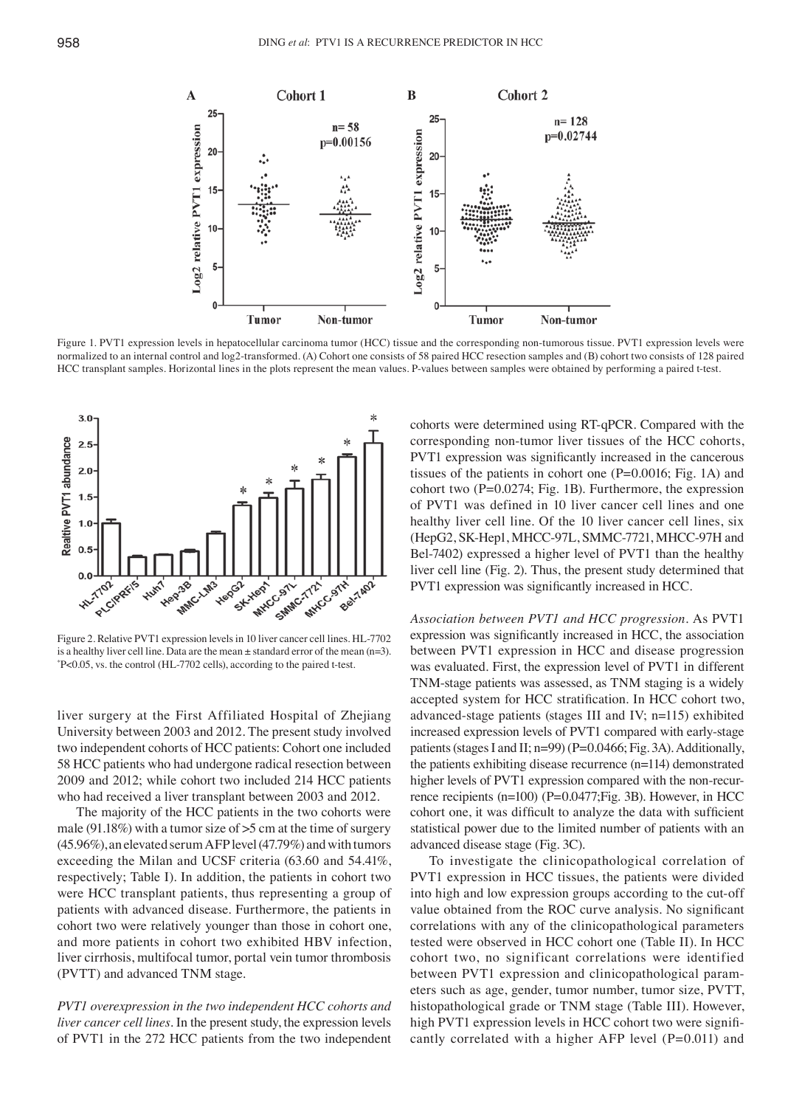

Figure 1. PVT1 expression levels in hepatocellular carcinoma tumor (HCC) tissue and the corresponding non-tumorous tissue. PVT1 expression levels were normalized to an internal control and log2-transformed. (A) Cohort one consists of 58 paired HCC resection samples and (B) cohort two consists of 128 paired HCC transplant samples. Horizontal lines in the plots represent the mean values. P-values between samples were obtained by performing a paired t-test.



Figure 2. Relative PVT1 expression levels in 10 liver cancer cell lines. HL-7702 is a healthy liver cell line. Data are the mean  $\pm$  standard error of the mean (n=3). P<0.05, vs. the control (HL-7702 cells), according to the paired t-test.

liver surgery at the First Affiliated Hospital of Zhejiang University between 2003 and 2012. The present study involved two independent cohorts of HCC patients: Cohort one included 58 HCC patients who had undergone radical resection between 2009 and 2012; while cohort two included 214 HCC patients who had received a liver transplant between 2003 and 2012.

The majority of the HCC patients in the two cohorts were male (91.18%) with a tumor size of >5 cm at the time of surgery (45.96%), an elevated serum AFP level (47.79%) and with tumors exceeding the Milan and UCSF criteria (63.60 and 54.41%, respectively; Table I). In addition, the patients in cohort two were HCC transplant patients, thus representing a group of patients with advanced disease. Furthermore, the patients in cohort two were relatively younger than those in cohort one, and more patients in cohort two exhibited HBV infection, liver cirrhosis, multifocal tumor, portal vein tumor thrombosis (PVTT) and advanced TNM stage.

*PVT1 overexpression in the two independent HCC cohorts and liver cancer cell lines.* In the present study, the expression levels of PVT1 in the 272 HCC patients from the two independent cohorts were determined using RT-qPCR. Compared with the corresponding non-tumor liver tissues of the HCC cohorts, PVT1 expression was significantly increased in the cancerous tissues of the patients in cohort one (P=0.0016; Fig. 1A) and cohort two (P=0.0274; Fig. 1B). Furthermore, the expression of PVT1 was defined in 10 liver cancer cell lines and one healthy liver cell line. Of the 10 liver cancer cell lines, six (HepG2, SK-Hep1, MHCC-97L, SMMC-7721, MHCC-97H and Bel-7402) expressed a higher level of PVT1 than the healthy liver cell line (Fig. 2). Thus, the present study determined that PVT1 expression was significantly increased in HCC.

*Association between PVT1 and HCC progression.* As PVT1 expression was significantly increased in HCC, the association between PVT1 expression in HCC and disease progression was evaluated. First, the expression level of PVT1 in different TNM-stage patients was assessed, as TNM staging is a widely accepted system for HCC stratification. In HCC cohort two, advanced-stage patients (stages III and IV; n=115) exhibited increased expression levels of PVT1 compared with early-stage patients (stages I and II; n=99) (P=0.0466; Fig. 3A). Additionally, the patients exhibiting disease recurrence (n=114) demonstrated higher levels of PVT1 expression compared with the non-recurrence recipients (n=100) (P=0.0477; Fig. 3B). However, in HCC cohort one, it was difficult to analyze the data with sufficient statistical power due to the limited number of patients with an advanced disease stage (Fig. 3C).

To investigate the clinicopathological correlation of PVT1 expression in HCC tissues, the patients were divided into high and low expression groups according to the cut-off value obtained from the ROC curve analysis. No significant correlations with any of the clinicopathological parameters tested were observed in HCC cohort one (Table II). In HCC cohort two, no significant correlations were identified between PVT1 expression and clinicopathological parameters such as age, gender, tumor number, tumor size, PVTT, histopathological grade or TNM stage (Table III). However, high PVT1 expression levels in HCC cohort two were significantly correlated with a higher AFP level (P=0.011) and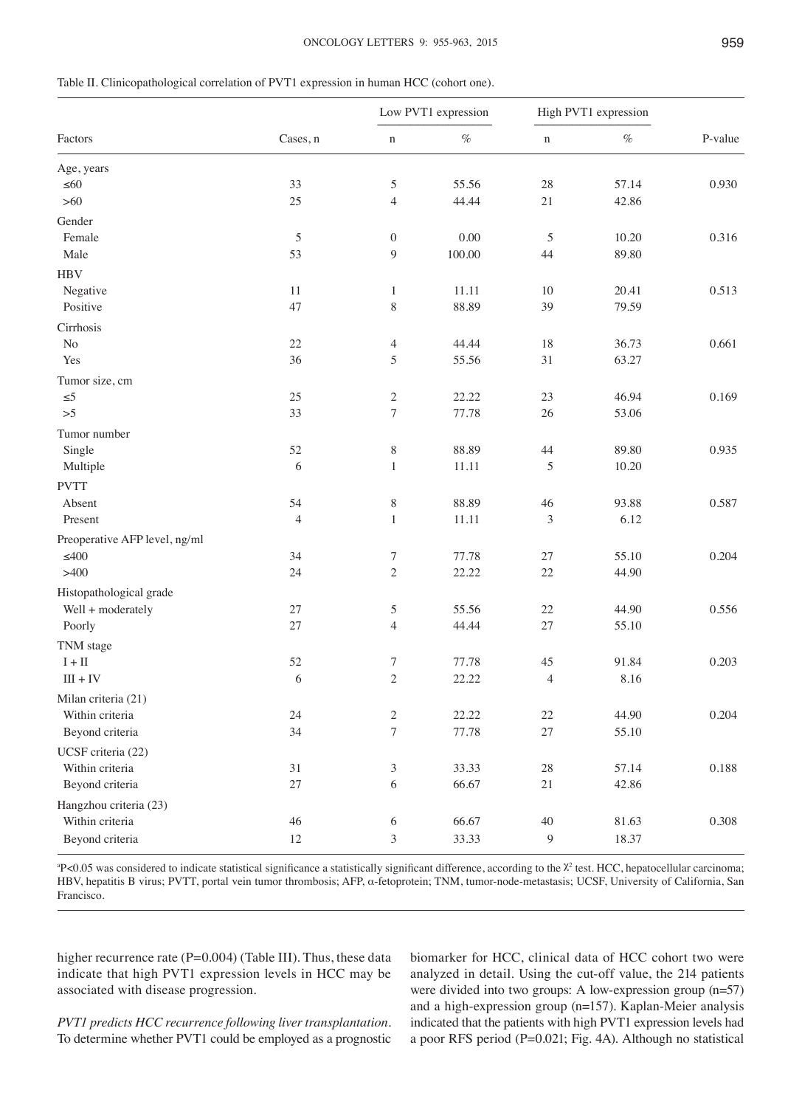| Table II. Clinicopathological correlation of PVT1 expression in human HCC (cohort one). |  |
|-----------------------------------------------------------------------------------------|--|
|-----------------------------------------------------------------------------------------|--|

|                               | Cases, n       |                       | Low PVT1 expression |                  | High PVT1 expression |         |
|-------------------------------|----------------|-----------------------|---------------------|------------------|----------------------|---------|
| Factors                       |                | $\mathbf n$           | $\%$                | $\mathbf n$      | $\%$                 | P-value |
| Age, years                    |                |                       |                     |                  |                      |         |
| $\leq 60$                     | 33             | 5                     | 55.56               | 28               | 57.14                | 0.930   |
| $>60$                         | 25             | $\overline{4}$        | 44.44               | 21               | 42.86                |         |
| Gender                        |                |                       |                     |                  |                      |         |
| Female                        | $\mathfrak s$  | $\boldsymbol{0}$      | 0.00                | $\mathfrak s$    | 10.20                | 0.316   |
| Male                          | 53             | 9                     | 100.00              | 44               | 89.80                |         |
| <b>HBV</b>                    |                |                       |                     |                  |                      |         |
| Negative                      | 11             | $\mathbf{1}$          | 11.11               | 10               | 20.41                | 0.513   |
| Positive                      | 47             | 8                     | 88.89               | 39               | 79.59                |         |
| Cirrhosis                     |                |                       |                     |                  |                      |         |
| $\rm No$                      | $22\,$         | 4                     | 44.44               | 18               | 36.73                | 0.661   |
| Yes                           | 36             | 5                     | 55.56               | 31               | 63.27                |         |
| Tumor size, cm                |                |                       |                     |                  |                      |         |
| $\leq 5$                      | 25             | $\mathfrak{2}$        | 22.22               | 23               | 46.94                | 0.169   |
| >5                            | 33             | $\boldsymbol{7}$      | 77.78               | 26               | 53.06                |         |
| Tumor number                  |                |                       |                     |                  |                      |         |
| Single                        | 52             | $8\,$                 | 88.89               | $44$             | 89.80                | 0.935   |
| Multiple                      | 6              | $\mathbf{1}$          | 11.11               | 5                | 10.20                |         |
|                               |                |                       |                     |                  |                      |         |
| <b>PVTT</b><br>Absent         | 54             |                       | 88.89               | 46               | 93.88                | 0.587   |
| Present                       | $\overline{4}$ | $8\,$<br>$\mathbf{1}$ | 11.11               | 3                | 6.12                 |         |
|                               |                |                       |                     |                  |                      |         |
| Preoperative AFP level, ng/ml |                |                       |                     |                  |                      |         |
| $\leq 400$                    | 34             | $\boldsymbol{7}$      | 77.78               | 27               | 55.10                | 0.204   |
| >400                          | 24             | $\mathbf{2}$          | 22.22               | 22               | 44.90                |         |
| Histopathological grade       |                |                       |                     |                  |                      |         |
| Well + moderately             | 27             | 5                     | 55.56               | 22               | 44.90                | 0.556   |
| Poorly                        | 27             | $\overline{4}$        | 44.44               | 27               | 55.10                |         |
| TNM stage                     |                |                       |                     |                  |                      |         |
| $I + II$                      | 52             | 7                     | 77.78               | 45               | 91.84                | 0.203   |
| $III + IV$                    | 6              | $\mathbf{2}$          | 22.22               | 4                | 8.16                 |         |
| Milan criteria (21)           |                |                       |                     |                  |                      |         |
| Within criteria               | $24\,$         | $\sqrt{2}$            | 22.22               | $22\,$           | 44.90                | 0.204   |
| Beyond criteria               | 34             | $\boldsymbol{7}$      | 77.78               | $27\,$           | 55.10                |         |
| UCSF criteria (22)            |                |                       |                     |                  |                      |         |
| Within criteria               | 31             | 3                     | 33.33               | $28\,$           | 57.14                | 0.188   |
| Beyond criteria               | $27\,$         | $\sqrt{6}$            | 66.67               | $21\,$           | 42.86                |         |
| Hangzhou criteria (23)        |                |                       |                     |                  |                      |         |
| Within criteria               | $46\,$         | 6                     | 66.67               | 40               | 81.63                | 0.308   |
| Beyond criteria               | 12             | $\mathfrak{Z}$        | 33.33               | $\boldsymbol{9}$ | 18.37                |         |
|                               |                |                       |                     |                  |                      |         |

 $P$ <0.05 was considered to indicate statistical significance a statistically significant difference, according to the  $\chi^2$  test. HCC, hepatocellular carcinoma; HBV, hepatitis B virus; PVTT, portal vein tumor thrombosis; AFP, α-fetoprotein; TNM, tumor-node-metastasis; UCSF, University of California, San Francisco.

higher recurrence rate (P=0.004) (Table III). Thus, these data indicate that high PVT1 expression levels in HCC may be associated with disease progression.

*PVT1 predicts HCC recurrence following liver transplantation.*  To determine whether PVT1 could be employed as a prognostic biomarker for HCC, clinical data of HCC cohort two were analyzed in detail. Using the cut-off value, the 214 patients were divided into two groups: A low-expression group (n=57) and a high-expression group (n=157). Kaplan-Meier analysis indicated that the patients with high PVT1 expression levels had a poor RFS period (P=0.021; Fig. 4A). Although no statistical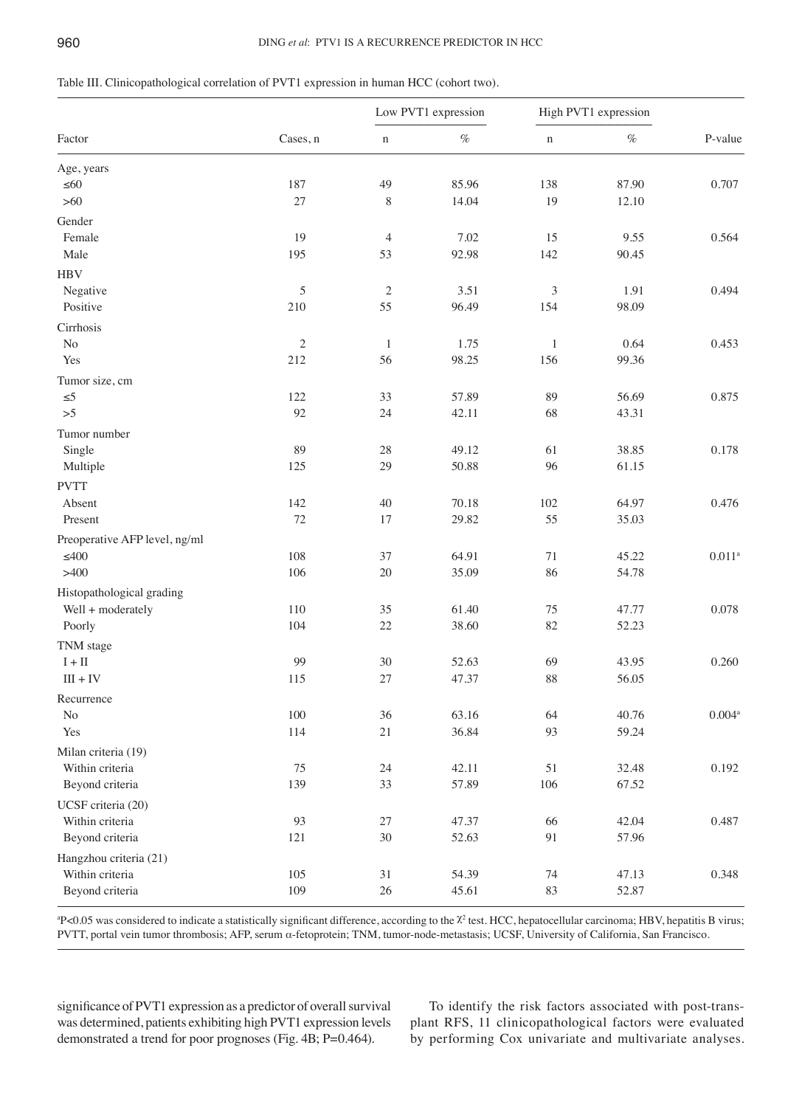# Table III. Clinicopathological correlation of PVT1 expression in human HCC (cohort two).

|                               | Cases, n      | Low PVT1 expression |          | High PVT1 expression |       |                      |
|-------------------------------|---------------|---------------------|----------|----------------------|-------|----------------------|
| Factor                        |               | $\mathbf n$         | $\%$     | $\mathbf n$          | $\%$  | P-value              |
| Age, years                    |               |                     |          |                      |       |                      |
| $\leq 60$                     | 187           | 49                  | 85.96    | 138                  | 87.90 | 0.707                |
| $>60$                         | 27            | $\,$ $\,$           | 14.04    | 19                   | 12.10 |                      |
| Gender                        |               |                     |          |                      |       |                      |
| Female                        | 19            | $\overline{4}$      | $7.02\,$ | 15                   | 9.55  | 0.564                |
| Male                          | 195           | 53                  | 92.98    | 142                  | 90.45 |                      |
| <b>HBV</b>                    |               |                     |          |                      |       |                      |
| Negative                      | $\mathfrak s$ | $\sqrt{2}$          | 3.51     | $\mathfrak{Z}$       | 1.91  | 0.494                |
| Positive                      | 210           | 55                  | 96.49    | 154                  | 98.09 |                      |
| Cirrhosis                     |               |                     |          |                      |       |                      |
| $\rm No$                      | $\sqrt{2}$    | $\mathbf{1}$        | 1.75     | $\mathbf{1}$         | 0.64  | 0.453                |
| Yes                           | 212           | 56                  | 98.25    | 156                  | 99.36 |                      |
| Tumor size, cm                |               |                     |          |                      |       |                      |
| $\leq 5$                      | 122           | 33                  | 57.89    | 89                   | 56.69 | 0.875                |
| >5                            | 92            | 24                  | 42.11    | 68                   | 43.31 |                      |
| Tumor number                  |               |                     |          |                      |       |                      |
| Single                        | 89            | 28                  | 49.12    | 61                   | 38.85 | 0.178                |
| Multiple                      | 125           | 29                  | 50.88    | 96                   | 61.15 |                      |
| <b>PVTT</b>                   |               |                     |          |                      |       |                      |
| Absent                        | 142           | 40                  | 70.18    | 102                  | 64.97 | 0.476                |
| Present                       | 72            | 17                  | 29.82    | 55                   | 35.03 |                      |
| Preoperative AFP level, ng/ml |               |                     |          |                      |       |                      |
| $\leq 400$                    | 108           | 37                  | 64.91    | $71\,$               | 45.22 | $0.011^{\rm a}$      |
| >400                          | 106           | 20                  | 35.09    | 86                   | 54.78 |                      |
| Histopathological grading     |               |                     |          |                      |       |                      |
| Well + moderately             | 110           | 35                  | 61.40    | 75                   | 47.77 | 0.078                |
| Poorly                        | 104           | 22                  | 38.60    | 82                   | 52.23 |                      |
| TNM stage                     |               |                     |          |                      |       |                      |
| $\mathbf{I}+\mathbf{II}$      | 99            | 30                  | 52.63    | 69                   | 43.95 | 0.260                |
| $III + IV$                    | 115           | 27                  | 47.37    | 88                   | 56.05 |                      |
| Recurrence                    |               |                     |          |                      |       |                      |
| $\rm No$                      | $100\,$       | 36                  | 63.16    | 64                   | 40.76 | $0.004$ <sup>a</sup> |
| Yes                           | 114           | 21                  | 36.84    | 93                   | 59.24 |                      |
| Milan criteria (19)           |               |                     |          |                      |       |                      |
| Within criteria               | 75            | $24\,$              | 42.11    | 51                   | 32.48 | 0.192                |
| Beyond criteria               | 139           | 33                  | 57.89    | 106                  | 67.52 |                      |
| UCSF criteria (20)            |               |                     |          |                      |       |                      |
| Within criteria               | 93            | $27\,$              | 47.37    | 66                   | 42.04 | 0.487                |
| Beyond criteria               | 121           | $30\,$              | 52.63    | 91                   | 57.96 |                      |
| Hangzhou criteria (21)        |               |                     |          |                      |       |                      |
| Within criteria               | 105           | $31\,$              | 54.39    | 74                   | 47.13 | 0.348                |
| Beyond criteria               | 109           | 26                  | 45.61    | 83                   | 52.87 |                      |
|                               |               |                     |          |                      |       |                      |

<sup>a</sup>P<0.05 was considered to indicate a statistically significant difference, according to the <sup>χ2</sup> test. HCC, hepatocellular carcinoma; HBV, hepatitis B virus; PVTT, portal vein tumor thrombosis; AFP, serum α-fetoprotein; TNM, tumor-node-metastasis; UCSF, University of California, San Francisco.

significance of PVT1 expression as a predictor of overall survival was determined, patients exhibiting high PVT1 expression levels demonstrated a trend for poor prognoses (Fig. 4B; P=0.464).

To identify the risk factors associated with post-transplant RFS, 11 clinicopathological factors were evaluated by performing Cox univariate and multivariate analyses.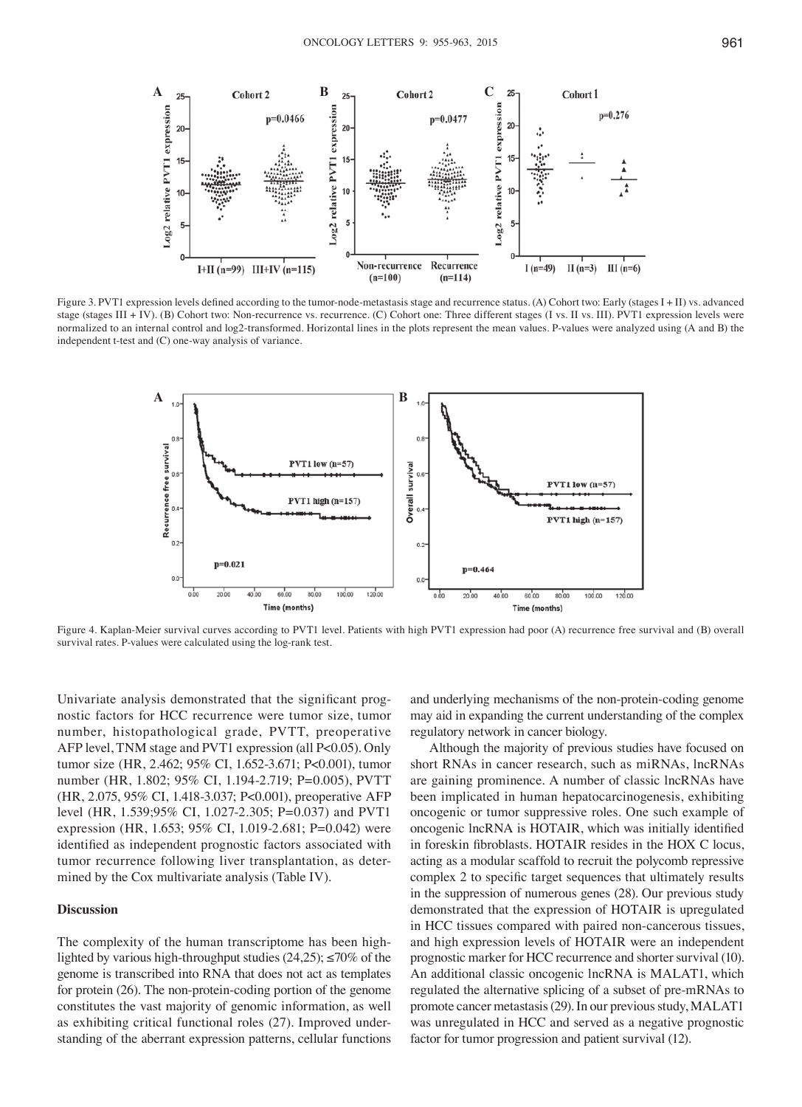

Figure 3. PVT1 expression levels defined according to the tumor-node-metastasis stage and recurrence status. (A) Cohort two: Early (stages I + II) vs. advanced stage (stages III + IV). (B) Cohort two: Non-recurrence vs. recurrence. (C) Cohort one: Three different stages (I vs. II vs. III). PVT1 expression levels were normalized to an internal control and log2-transformed. Horizontal lines in the plots represent the mean values. P-values were analyzed using (A and B) the independent t-test and (C) one-way analysis of variance.



Figure 4. Kaplan‑Meier survival curves according to PVT1 level. Patients with high PVT1 expression had poor (A) recurrence free survival and (B) overall survival rates. P-values were calculated using the log-rank test.

Univariate analysis demonstrated that the significant prognostic factors for HCC recurrence were tumor size, tumor number, histopathological grade, PVTT, preoperative AFP level, TNM stage and PVT1 expression (all P<0.05). Only tumor size (HR, 2.462; 95% CI, 1.652-3.671; P<0.001), tumor number (HR, 1.802; 95% CI, 1.194-2.719; P=0.005), PVTT (HR, 2.075, 95% CI, 1.418-3.037; P<0.001), preoperative AFP level (HR, 1.539;95% CI, 1.027-2.305; P=0.037) and PVT1 expression (HR, 1.653; 95% CI, 1.019-2.681; P=0.042) were identified as independent prognostic factors associated with tumor recurrence following liver transplantation, as determined by the Cox multivariate analysis (Table IV).

#### **Discussion**

The complexity of the human transcriptome has been highlighted by various high-throughput studies  $(24,25)$ ;  $\leq 70\%$  of the genome is transcribed into RNA that does not act as templates for protein (26). The non-protein-coding portion of the genome constitutes the vast majority of genomic information, as well as exhibiting critical functional roles (27). Improved understanding of the aberrant expression patterns, cellular functions

and underlying mechanisms of the non-protein-coding genome may aid in expanding the current understanding of the complex regulatory network in cancer biology.

Although the majority of previous studies have focused on short RNAs in cancer research, such as miRNAs, lncRNAs are gaining prominence. A number of classic lncRNAs have been implicated in human hepatocarcinogenesis, exhibiting oncogenic or tumor suppressive roles. One such example of oncogenic lncRNA is HOTAIR, which was initially identified in foreskin fibroblasts. HOTAIR resides in the HOX C locus, acting as a modular scaffold to recruit the polycomb repressive complex 2 to specific target sequences that ultimately results in the suppression of numerous genes (28). Our previous study demonstrated that the expression of HOTAIR is upregulated in HCC tissues compared with paired non-cancerous tissues, and high expression levels of HOTAIR were an independent prognostic marker for HCC recurrence and shorter survival (10). An additional classic oncogenic lncRNA is MALAT1, which regulated the alternative splicing of a subset of pre-mRNAs to promote cancer metastasis(29). In our previous study, MALAT1 was unregulated in HCC and served as a negative prognostic factor for tumor progression and patient survival (12).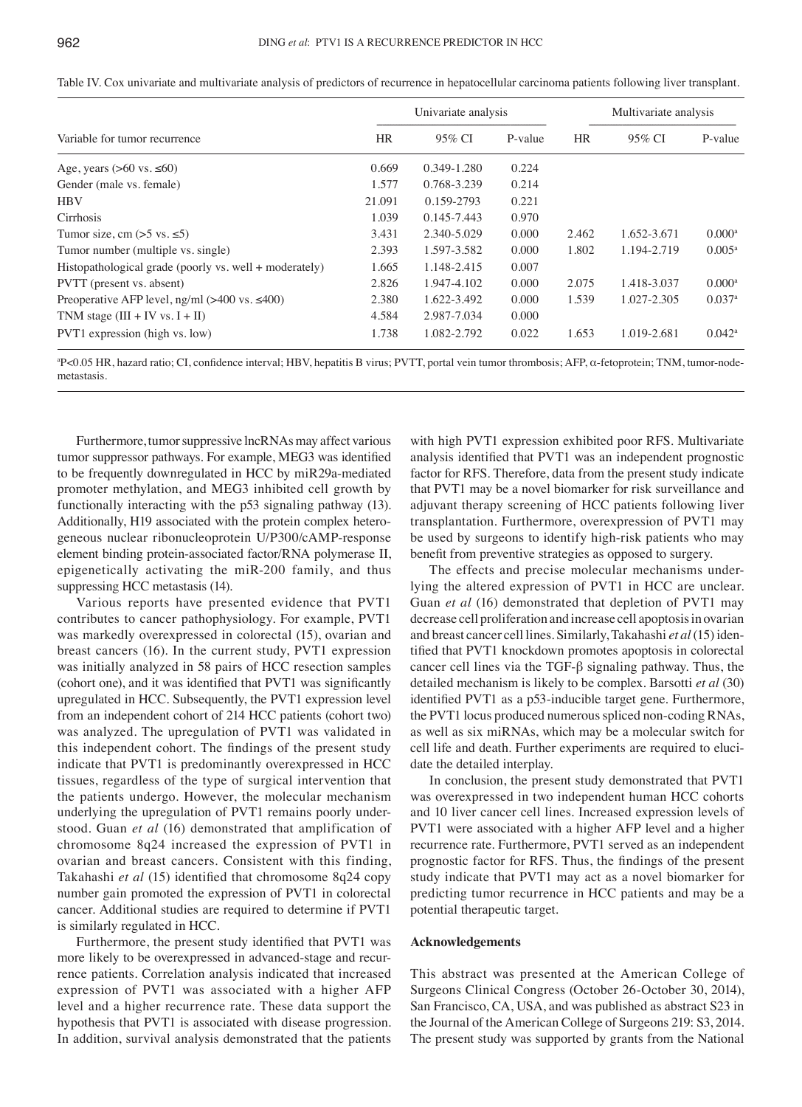| Table IV. Cox univariate and multivariate analysis of predictors of recurrence in hepatocellular carcinoma patients following liver transplant. |  |  |
|-------------------------------------------------------------------------------------------------------------------------------------------------|--|--|
|-------------------------------------------------------------------------------------------------------------------------------------------------|--|--|

|                                                        | Univariate analysis |             |         | Multivariate analysis |             |                      |
|--------------------------------------------------------|---------------------|-------------|---------|-----------------------|-------------|----------------------|
| Variable for tumor recurrence                          | <b>HR</b>           | 95% CI      | P-value | <b>HR</b>             | 95% CI      | P-value              |
| Age, years $(>60 \text{ vs. } \le 60)$                 | 0.669               | 0.349-1.280 | 0.224   |                       |             |                      |
| Gender (male vs. female)                               | 1.577               | 0.768-3.239 | 0.214   |                       |             |                      |
| <b>HBV</b>                                             | 21.091              | 0.159-2793  | 0.221   |                       |             |                      |
| Cirrhosis                                              | 1.039               | 0.145-7.443 | 0.970   |                       |             |                      |
| Tumor size, cm $(55 \text{ vs. } 5)$                   | 3.431               | 2.340-5.029 | 0.000   | 2.462                 | 1.652-3.671 | $0.000^a$            |
| Tumor number (multiple vs. single)                     | 2.393               | 1.597-3.582 | 0.000   | 1.802                 | 1.194-2.719 | $0.005^{\rm a}$      |
| Histopathological grade (poorly vs. well + moderately) | 1.665               | 1.148-2.415 | 0.007   |                       |             |                      |
| PVTT (present vs. absent)                              | 2.826               | 1.947-4.102 | 0.000   | 2.075                 | 1.418-3.037 | $0.000$ <sup>a</sup> |
| Preoperative AFP level, $ng/ml$ (>400 vs. $\leq 400$ ) | 2.380               | 1.622-3.492 | 0.000   | 1.539                 | 1.027-2.305 | $0.037$ <sup>a</sup> |
| TNM stage $(III + IV vs. I + II)$                      | 4.584               | 2.987-7.034 | 0.000   |                       |             |                      |
| PVT1 expression (high vs. low)                         | 1.738               | 1.082-2.792 | 0.022   | 1.653                 | 1.019-2.681 | $0.042^{\rm a}$      |

a P<0.05 HR, hazard ratio; CI, confidence interval; HBV, hepatitis B virus; PVTT, portal vein tumor thrombosis; AFP, α‑fetoprotein; TNM, tumor-nodemetastasis.

Furthermore, tumor suppressive lncRNAs may affect various tumor suppressor pathways. For example, MEG3 was identified to be frequently downregulated in HCC by miR29a-mediated promoter methylation, and MEG3 inhibited cell growth by functionally interacting with the p53 signaling pathway (13). Additionally, H19 associated with the protein complex heterogeneous nuclear ribonucleoprotein U/P300/cAMP-response element binding protein-associated factor/RNA polymerase II, epigenetically activating the miR-200 family, and thus suppressing HCC metastasis (14).

Various reports have presented evidence that PVT1 contributes to cancer pathophysiology. For example, PVT1 was markedly overexpressed in colorectal (15), ovarian and breast cancers (16). In the current study, PVT1 expression was initially analyzed in 58 pairs of HCC resection samples (cohort one), and it was identified that PVT1 was significantly upregulated in HCC. Subsequently, the PVT1 expression level from an independent cohort of 214 HCC patients (cohort two) was analyzed. The upregulation of PVT1 was validated in this independent cohort. The findings of the present study indicate that PVT1 is predominantly overexpressed in HCC tissues, regardless of the type of surgical intervention that the patients undergo. However, the molecular mechanism underlying the upregulation of PVT1 remains poorly understood. Guan *et al* (16) demonstrated that amplification of chromosome 8q24 increased the expression of PVT1 in ovarian and breast cancers. Consistent with this finding, Takahashi *et al* (15) identified that chromosome 8q24 copy number gain promoted the expression of PVT1 in colorectal cancer. Additional studies are required to determine if PVT1 is similarly regulated in HCC.

Furthermore, the present study identified that PVT1 was more likely to be overexpressed in advanced-stage and recurrence patients. Correlation analysis indicated that increased expression of PVT1 was associated with a higher AFP level and a higher recurrence rate. These data support the hypothesis that PVT1 is associated with disease progression. In addition, survival analysis demonstrated that the patients

with high PVT1 expression exhibited poor RFS. Multivariate analysis identified that PVT1 was an independent prognostic factor for RFS. Therefore, data from the present study indicate that PVT1 may be a novel biomarker for risk surveillance and adjuvant therapy screening of HCC patients following liver transplantation. Furthermore, overexpression of PVT1 may be used by surgeons to identify high-risk patients who may benefit from preventive strategies as opposed to surgery.

The effects and precise molecular mechanisms underlying the altered expression of PVT1 in HCC are unclear. Guan *et al* (16) demonstrated that depletion of PVT1 may decrease cell proliferation and increase cell apoptosis in ovarian and breast cancer cell lines. Similarly, Takahashi *et al*(15) identified that PVT1 knockdown promotes apoptosis in colorectal cancer cell lines via the TGF-β signaling pathway. Thus, the detailed mechanism is likely to be complex. Barsotti *et al* (30) identified PVT1 as a p53‑inducible target gene. Furthermore, the PVT1 locus produced numerous spliced non-coding RNAs, as well as six miRNAs, which may be a molecular switch for cell life and death. Further experiments are required to elucidate the detailed interplay.

In conclusion, the present study demonstrated that PVT1 was overexpressed in two independent human HCC cohorts and 10 liver cancer cell lines. Increased expression levels of PVT1 were associated with a higher AFP level and a higher recurrence rate. Furthermore, PVT1 served as an independent prognostic factor for RFS. Thus, the findings of the present study indicate that PVT1 may act as a novel biomarker for predicting tumor recurrence in HCC patients and may be a potential therapeutic target.

#### **Acknowledgements**

This abstract was presented at the American College of Surgeons Clinical Congress (October 26-October 30, 2014), San Francisco, CA, USA, and was published as abstract S23 in the Journal of the American College of Surgeons 219: S3, 2014. The present study was supported by grants from the National